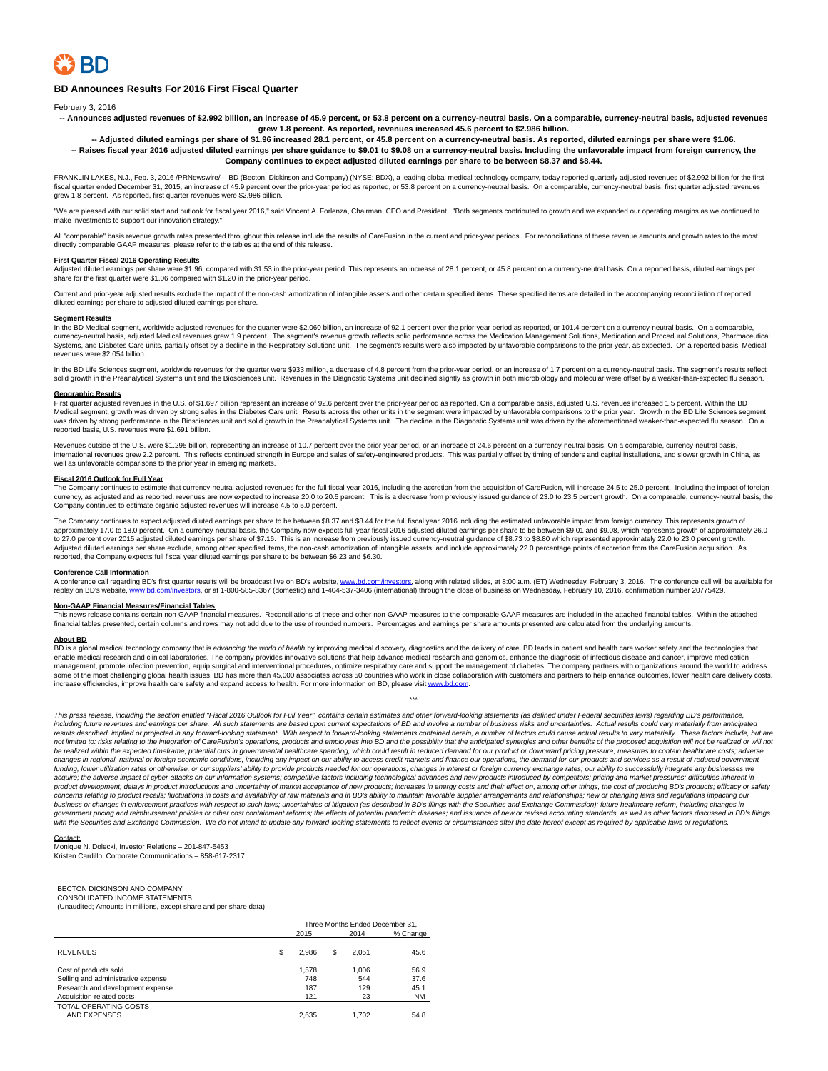

## **BD Announces Results For 2016 First Fiscal Quarter**

February 3, 2016

**-- Announces adjusted revenues of \$2.992 billion, an increase of 45.9 percent, or 53.8 percent on a currency-neutral basis. On a comparable, currency-neutral basis, adjusted revenues grew 1.8 percent. As reported, revenues increased 45.6 percent to \$2.986 billion.**

**-- Adjusted diluted earnings per share of \$1.96 increased 28.1 percent, or 45.8 percent on a currency-neutral basis. As reported, diluted earnings per share were \$1.06. -- Raises fiscal year 2016 adjusted diluted earnings per share guidance to \$9.01 to \$9.08 on a currency-neutral basis. Including the unfavorable impact from foreign currency, the Company continues to expect adjusted diluted earnings per share to be between \$8.37 and \$8.44.**

FRANKLIN LAKES, N.J., Feb. 3, 2016 /PRNewswire/ -- BD (Becton, Dickinson and Company) (NYSE: BDX), a leading global medical technology company, today reported quarterly adjusted revenues of \$2.992 billion for the first fiscal quarter ended December 31, 2015, an increase of 45.9 percent over the prior-year period as reported, or 53.8 percent on a currency-neutral basis. On a comparable, currency-neutral basis, first quarter adjusted reven grew 1.8 percent. As reported, first quarter revenues were \$2.986 billion.

"We are pleased with our solid start and outlook for fiscal year 2016," said Vincent A. Forlenza, Chairman, CEO and President. "Both segments contributed to growth and we expanded our operating margins as we continued to make investments to support our innovation strategy."

All "comparable" basis revenue growth rates presented throughout this release include the results of CareFusion in the current and prior-year periods. For reconciliations of these revenue amounts and growth rates to the mo directly comparable GAAP measures, please refer to the tables at the end of this release.

### **First Quarter Fiscal 2016 Operating Results**

Adjusted diluted earnings per share were \$1.96, compared with \$1.53 in the prior-year period. This represents an increase of 28.1 percent, or 45.8 percent on a currency-neutral basis. On a reported basis, diluted earnings share for the first quarter were \$1.06 compared with \$1.20 in the prior-year period.

Current and prior-year adjusted results exclude the impact of the non-cash amortization of intangible assets and other certain specified items. These specified items are detailed in the accompanying reconciliation of repor diluted earnings per share to adjusted diluted earnings per share.

## **Segment Results**

In the BD Medical segment, worldwide adjusted revenues for the quarter were \$2.060 billion, an increase of 92.1 percent over the prior-year period as reported, or 101.4 percent on a currency-neutral basis. On a comparable, currency-neutral basis, adjusted Medical revenues grew 1.9 percent. The segment's revenue growth reflects solid performance across the Medication Management Solutions, Medication and Procedural Solutions, Pharmaceutical So Systems, and Diabetes Care units, partially offset by a decline in the Respiratory Solutions unit. The segment's results were also impacted by unfavorable comparisons to the prior year, as expected. On a reported basis, Me revenues were \$2.054 billion.

In the BD Life Sciences segment, worldwide revenues for the quarter were \$933 million, a decrease of 4.8 percent from the prior-year period, or an increase of 1.7 percent on a currency-neutral basis. The segment's results solid growth in the Preanalytical Systems unit and the Biosciences unit. Revenues in the Diagnostic Systems unit declined slightly as growth in both microbiology and molecular were offset by a weaker-than-expected flu seas

### **Geographic Results**

First quarter adjusted revenues in the U.S. of \$1.697 billion represent an increase of 92.6 percent over the prior-year period as reported. On a comparable basis, adjusted U.S. revenues increased 1.5 percent. Within the BD Medical segment, growth was driven by strong sales in the Diabetes Care unit. Results across the other units in the segment were impacted by unfavorable comparisons to the prior year. Growth in the BD Life Sciences segment reported basis, U.S. revenues were \$1.691 billion.

Revenues outside of the U.S. were \$1.295 billion, representing an increase of 10.7 percent over the prior-year period, or an increase of 24.6 percent on a currency-neutral basis. On a comparable, currency-neutral basis international revenues grew 2.2 percent. This reflects continued strength in Europe and sales of safety-engineered products. This was partially offset by timing of tenders and capital installations, and slower growth in Ch well as unfavorable comparisons to the prior year in emerging markets.

### **Fiscal 2016 Outlook for Full Year**

The Company continues to estimate that currency-neutral adjusted revenues for the full fiscal year 2016, including the accretion from the acquisition of CareFusion, will increase 24.5 to 25.0 percent. Including the impact Company continues to estimate organic adjusted revenues will increase 4.5 to 5.0 percent.

The Company continues to expect adjusted diluted earnings per share to be between \$8.37 and \$8.44 for the full fiscal year 2016 including the estimated unfavorable impact from foreign currency. This represents growth of approximately 17.0 to 18.0 percent. On a currency-neutral basis, the Company now expects full-year fiscal 2016 adjusted diluted earnings per share to be between \$9.01 and \$9.08, which represents growth of approximately 26. Adjusted diluted earnings per share exclude, among other specified items, the non-cash amortization of intangible assets, and include approximately 22.0 percentage points of accretion from the CareFusion acquisition. As<br>re

### **Conference Call Information**

A conference call regarding BD's first quarter results will be broadcast live on BD's website, <u>www.bd.com/investors,</u> along with related slides, at 8:00 a.m. (ET) Wednesday, February 3, 2016. The conference call will be a

## **Non-GAAP Financial Measures/Financial Tables**

This news release contains certain non-GAAP financial measures. Reconciliations of these and other non-GAAP measures to the comparable GAAP measures are included in the attached financial tables. Within the attached financial tables presented, certain columns and rows may not add due to the use of rounded numbers. Percentages and earnings per share amounts presented are calculated from the underlying amounts.

### **About BD**

BD is a global medical technology company that is advancing the world of health by improving medical discovery, diagnostics and the delivery of care. BD leads in patient and health care worker safety and the technologies t management, promote infection prevention, equip surgical and interventional procedures, optimize respiratory care and support the management of diabetes. The company partners with organizations around the world to address some of the most challenging global health issues. BD has more than 45,000 associates across 50 countries who work in close collaboration with customers and partners to help enhance outcomes, lower health care delivery cos increase efficiencies, improve health care safety and expand access to health. For more information on BD, please visi[t www.bd.com.](http://www.bd.com/)

\*\*\*

This press release, including the section entitled "Fiscal 2016 Outlook for Full Year", contains certain estimates and other forward-looking statements (as defined under Federal securities laws) regarding BD's performance, including future revenues and earnings per share. All such statements are based upon current expectations of BD and involve a number of business risks and uncertainties. Actual results could vary materially from anticipate not limited to: risks relating to the integration of CareFusion's operations, products and employees into BD and the possibility that the anticipated synergies and other benefits of the proposed acquisition will not be rea be realized within the expected timeframe; potential cuts in governmental healthcare spending, which could result in reduced demand for our product or downward pricing pressure; measures to contain healthcare costs; advers changes in regional, national or foreign economic conditions, including any impact on our ability to access credit markets and finance our operations, the demand for our products and services as a result of reduced governm funding, lower utilization rates or otherwise, or our suppliers' ability to provide products needed for our operations; changes in interest or foreign currency exchange rates; our ability to successfully integrate any busi .<br>concerns relating to product recalls; fluctuations in costs and availability of raw materials and in BD's ability to maintain favorable supplier arrangements and relationships; new or changing laws and regulations impact business or changes in enforcement practices with respect to such laws; uncertainties of litigation (as described in BD's filings with the Securities and Exchange Commission); future healthcare reform, including changes in

Contact: Monique N. Dolecki, Investor Relations – 201-847-5453 Kristen Cardillo, Corporate Communications – 858-617-2317

## BECTON DICKINSON AND COMPANY

CONSOLIDATED INCOME STATEMENTS (Unaudited; Amounts in millions, except share and per share data)

|                                    |   | Three Months Ended December 31.<br>2015<br>2014 |   |       |           |  |  |  |  |  |  |  |
|------------------------------------|---|-------------------------------------------------|---|-------|-----------|--|--|--|--|--|--|--|
|                                    |   |                                                 |   |       | % Change  |  |  |  |  |  |  |  |
| <b>REVENUES</b>                    | S | 2.986                                           | S | 2.051 | 45.6      |  |  |  |  |  |  |  |
|                                    |   |                                                 |   |       |           |  |  |  |  |  |  |  |
| Cost of products sold              |   | 1.578                                           |   | 1.006 | 56.9      |  |  |  |  |  |  |  |
| Selling and administrative expense |   | 748                                             |   | 544   | 37.6      |  |  |  |  |  |  |  |
| Research and development expense   |   | 187                                             |   | 129   | 45.1      |  |  |  |  |  |  |  |
| Acquisition-related costs          |   | 121                                             |   | 23    | <b>NM</b> |  |  |  |  |  |  |  |
| TOTAL OPERATING COSTS              |   |                                                 |   |       |           |  |  |  |  |  |  |  |
| AND EXPENSES                       |   | 2.635                                           |   | 1.702 | 54.8      |  |  |  |  |  |  |  |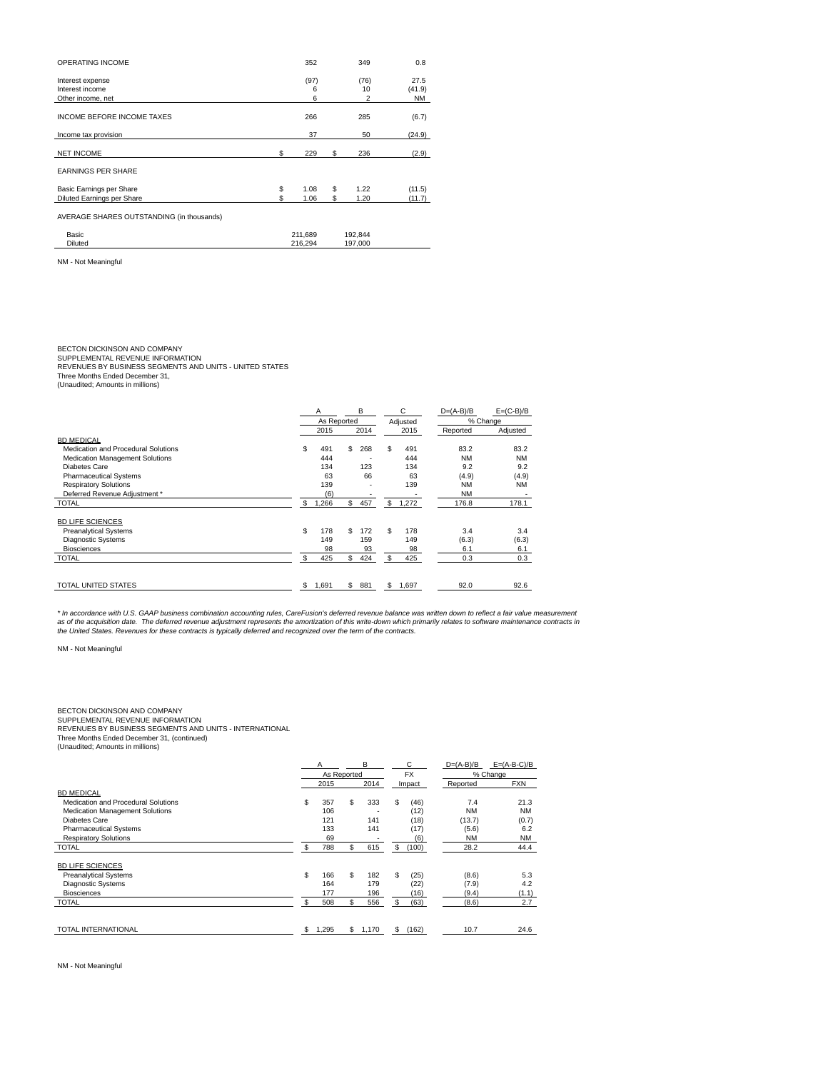| <b>OPERATING INCOME</b>                                  |           | 352            |          | 349                          | 0.8                         |
|----------------------------------------------------------|-----------|----------------|----------|------------------------------|-----------------------------|
| Interest expense<br>Interest income<br>Other income, net |           | (97)<br>6<br>6 |          | (76)<br>10<br>$\overline{2}$ | 27.5<br>(41.9)<br><b>NM</b> |
| <b>INCOME BEFORE INCOME TAXES</b>                        |           | 266            |          | 285                          | (6.7)                       |
| Income tax provision                                     |           | 37             |          | 50                           | (24.9)                      |
| <b>NET INCOME</b>                                        | S         | 229            | S        | 236                          | (2.9)                       |
| <b>EARNINGS PER SHARE</b>                                |           |                |          |                              |                             |
| Basic Earnings per Share<br>Diluted Earnings per Share   | \$<br>\$. | 1.08<br>1.06   | \$<br>\$ | 1.22<br>1.20                 | (11.5)<br>(11.7)            |
| AVERAGE SHARES OUTSTANDING (in thousands)                |           |                |          |                              |                             |
| Basic                                                    |           | 211,689        |          | 192,844                      |                             |
| Diluted                                                  |           | 216,294        |          | 197,000                      |                             |
| NM - Not Meaningful                                      |           |                |          |                              |                             |

BECTON DICKINSON AND COMPANY<br>SUPPLEMENTAL REVENUE INFORMATION<br>REVENUES BY BUSINESS SEGMENTS AND UNITS - UNITED STATES<br>Three Months Ended December 31,

(Unaudited; Amounts in millions)

|                                        |    |             | B<br>Α |      | С  |          | $D=(A-B)/B$ | $E=(C-B)/B$ |  |
|----------------------------------------|----|-------------|--------|------|----|----------|-------------|-------------|--|
|                                        |    | As Reported |        |      |    | Adjusted | % Change    |             |  |
|                                        |    | 2015        |        | 2014 |    | 2015     | Reported    | Adjusted    |  |
| <b>BD MEDICAL</b>                      |    |             |        |      |    |          |             |             |  |
| Medication and Procedural Solutions    | \$ | 491         | S.     | 268  | \$ | 491      | 83.2        | 83.2        |  |
| <b>Medication Management Solutions</b> |    | 444         |        | ٠    |    | 444      | <b>NM</b>   | <b>NM</b>   |  |
| Diabetes Care                          |    | 134         |        | 123  |    | 134      | 9.2         | 9.2         |  |
| <b>Pharmaceutical Systems</b>          |    | 63          |        | 66   |    | 63       | (4.9)       | (4.9)       |  |
| <b>Respiratory Solutions</b>           |    | 139         |        |      |    | 139      | <b>NM</b>   | <b>NM</b>   |  |
| Deferred Revenue Adiustment *          |    | (6)         |        |      |    |          | <b>NM</b>   |             |  |
| <b>TOTAL</b>                           | \$ | 1,266       | \$     | 457  | \$ | 1,272    | 176.8       | 178.1       |  |
| <b>BD LIFE SCIENCES</b>                |    |             |        |      |    |          |             |             |  |
| <b>Preanalytical Systems</b>           | \$ | 178         | S.     | 172  | \$ | 178      | 3.4         | 3.4         |  |
| <b>Diagnostic Systems</b>              |    | 149         |        | 159  |    | 149      | (6.3)       | (6.3)       |  |
| <b>Biosciences</b>                     |    | 98          |        | 93   |    | 98       | 6.1         | 6.1         |  |
| <b>TOTAL</b>                           | \$ | 425         | S.     | 424  | \$ | 425      | 0.3         | 0.3         |  |
| <b>TOTAL UNITED STATES</b>             | \$ | 1.691       | s.     | 881  | \$ | 1,697    | 92.0        | 92.6        |  |

\* In accordance with U.S. GAAP business combination accounting rules, CareFusion's deferred revenue balance was written down to reflect a fair value measurement<br>as of the acquisition date. The deferred revenue adjustment r

NM - Not Meaningful

## BECTON DICKINSON AND COMPANY

SUPPLEMENTAL REVENUE INFORMATION<br>REVENUES BY BUSINESS SEGMENTS AND UNITS - INTERNATIONAL<br>Three Months Ended December 31, (continued)<br>(Unaudited; Amounts in millions)

|                                        | Α  |             | B    |       | C  |           | $D=(A-B)/B$ | $E=(A-B-C)/B$ |  |
|----------------------------------------|----|-------------|------|-------|----|-----------|-------------|---------------|--|
|                                        |    | As Reported |      |       |    | <b>FX</b> | % Change    |               |  |
|                                        |    | 2015        | 2014 |       |    | Impact    | Reported    | <b>FXN</b>    |  |
| <b>BD MEDICAL</b>                      |    |             |      |       |    |           |             |               |  |
| Medication and Procedural Solutions    | \$ | 357         | S    | 333   | \$ | (46)      | 7.4         | 21.3          |  |
| <b>Medication Management Solutions</b> |    | 106         |      |       |    | (12)      | <b>NM</b>   | <b>NM</b>     |  |
| <b>Diabetes Care</b>                   |    | 121         |      | 141   |    | (18)      | (13.7)      | (0.7)         |  |
| <b>Pharmaceutical Systems</b>          |    | 133         |      | 141   |    | (17)      | (5.6)       | 6.2           |  |
| <b>Respiratory Solutions</b>           |    | 69          |      |       |    | (6)       | <b>NM</b>   | <b>NM</b>     |  |
| <b>TOTAL</b>                           | \$ | 788         | S    | 615   | \$ | (100)     | 28.2        | 44.4          |  |
| <b>BD LIFE SCIENCES</b>                |    |             |      |       |    |           |             |               |  |
| <b>Preanalytical Systems</b>           | \$ | 166         | S    | 182   | \$ | (25)      | (8.6)       | 5.3           |  |
| <b>Diagnostic Systems</b>              |    | 164         |      | 179   |    | (22)      | (7.9)       | 4.2           |  |
| <b>Biosciences</b>                     |    | 177         |      | 196   |    | (16)      | (9.4)       | (1.1)         |  |
| <b>TOTAL</b>                           | \$ | 508         | S    | 556   | \$ | (63)      | (8.6)       | 2.7           |  |
|                                        |    |             |      |       |    |           |             |               |  |
| <b>TOTAL INTERNATIONAL</b>             | \$ | 1,295       | s.   | 1,170 | S  | (162)     | 10.7        | 24.6          |  |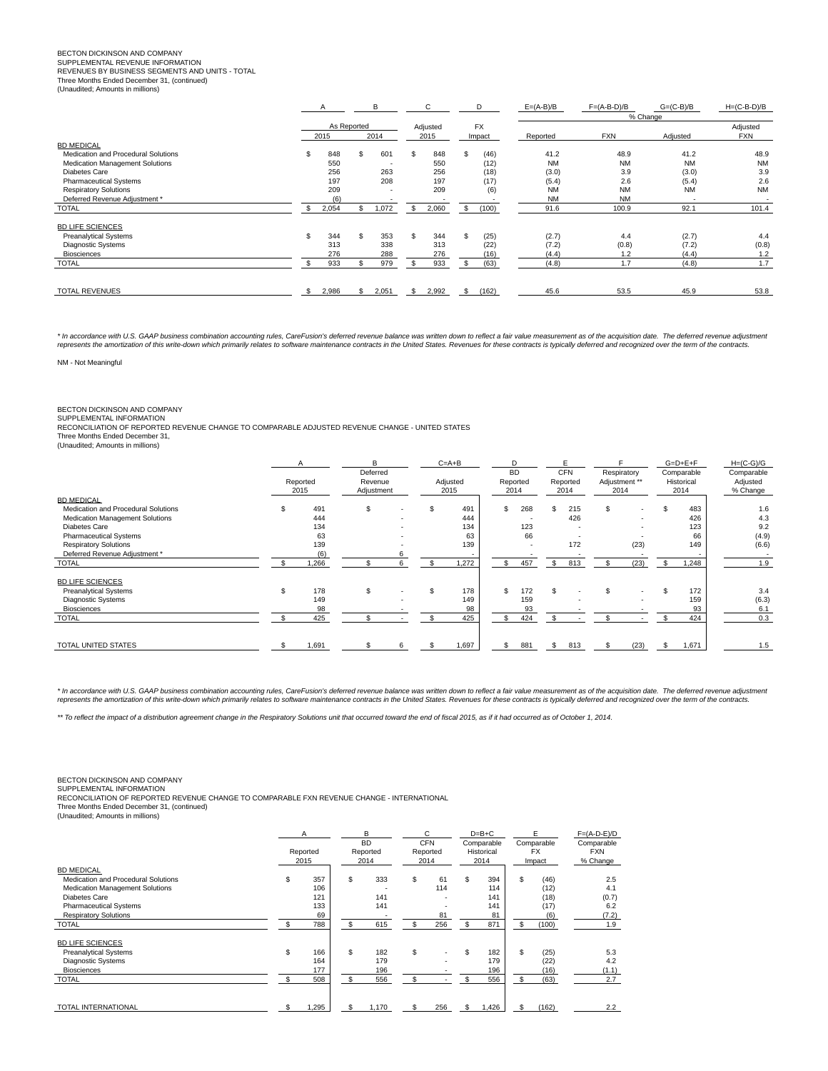# BECTON DICKINSON AND COMPANY SUPPLEMENTAL REVENUE INFORMATION

REVENUES BY BUSINESS SEGMENTS AND UNITS - TOTAL

Three Months Ended December 31, (continued)

|                                     |     | B                           |     | С        |             | D         | $E=(A-B)/B$ | $F=(A-B-D)/B$ | $G=(C-B)/B$ | $H=(C-B-D)/B$ |           |  |  |  |  |  |
|-------------------------------------|-----|-----------------------------|-----|----------|-------------|-----------|-------------|---------------|-------------|---------------|-----------|--|--|--|--|--|
|                                     |     |                             |     |          |             |           |             | % Change      |             |               |           |  |  |  |  |  |
|                                     |     | As Reported<br>2015<br>2014 |     | Adjusted |             | <b>FX</b> |             |               |             | Adjusted      |           |  |  |  |  |  |
|                                     |     |                             |     | 2015     |             | Impact    | Reported    | <b>FXN</b>    | Adjusted    | FXN           |           |  |  |  |  |  |
| <b>BD MEDICAL</b>                   |     |                             |     |          |             |           |             |               |             |               |           |  |  |  |  |  |
| Medication and Procedural Solutions |     | 848                         | \$  | 601      | \$<br>848   | \$.       | (46)        | 41.2          | 48.9        | 41.2          | 48.9      |  |  |  |  |  |
| Medication Management Solutions     |     | 550                         |     | ٠        | 550         |           | (12)        | <b>NM</b>     | <b>NM</b>   | <b>NM</b>     | <b>NM</b> |  |  |  |  |  |
| Diabetes Care                       |     | 256                         |     | 263      | 256         |           | (18)        | (3.0)         | 3.9         | (3.0)         | 3.9       |  |  |  |  |  |
| <b>Pharmaceutical Systems</b>       |     | 197                         |     | 208      | 197         |           | (17)        | (5.4)         | 2.6         | (5.4)         | 2.6       |  |  |  |  |  |
| <b>Respiratory Solutions</b>        |     | 209                         |     |          | 209         |           | (6)         | <b>NM</b>     | <b>NM</b>   | <b>NM</b>     | <b>NM</b> |  |  |  |  |  |
| Deferred Revenue Adjustment *       |     | (6)                         |     |          | ٠.          |           |             | <b>NM</b>     | <b>NM</b>   | <b>1999</b>   |           |  |  |  |  |  |
| <b>TOTAL</b>                        |     | 2,054                       | S.  | 1,072    | \$<br>2,060 | \$        | (100)       | 91.6          | 100.9       | 92.1          | 101.4     |  |  |  |  |  |
| <b>BD LIFE SCIENCES</b>             |     |                             |     |          |             |           |             |               |             |               |           |  |  |  |  |  |
| <b>Preanalytical Systems</b>        | \$. | 344                         | \$. | 353      | \$<br>344   | \$        | (25)        | (2.7)         | 4.4         | (2.7)         | 4.4       |  |  |  |  |  |
| <b>Diagnostic Systems</b>           |     | 313                         |     | 338      | 313         |           | (22)        | (7.2)         | (0.8)       | (7.2)         | (0.8)     |  |  |  |  |  |
| <b>Biosciences</b>                  |     | 276                         |     | 288      | 276         |           | (16)        | (4.4)         | 1.2         | (4.4)         | 1.2       |  |  |  |  |  |
| <b>TOTAL</b>                        |     | 933                         |     | 979      | 933         |           | (63)        | (4.8)         | 1.7         | (4.8)         | 1.7       |  |  |  |  |  |
|                                     |     |                             |     |          |             |           |             |               |             |               |           |  |  |  |  |  |
| <b>TOTAL REVENUES</b>               |     | 2,986                       |     | 2,051    | \$<br>2,992 | S.        | (162)       | 45.6          | 53.5        | 45.9          | 53.8      |  |  |  |  |  |

\* In accordance with U.S. GAAP business combination accounting rules, CareFusion's deferred revenue balance was written down to reflect a fair value measurement as of the acquisition date. The deferred revenue adjustment represents the amortization of this write-down which primarily relates to software maintenance contracts in the United States. Revenues for these contracts is typically deferred and recognized over the term of the contract

NM - Not Meaningful

# BECTON DICKINSON AND COMPANY SUPPLEMENTAL INFORMATION

RECONCILIATION OF REPORTED REVENUE CHANGE TO COMPARABLE ADJUSTED REVENUE CHANGE - UNITED STATES Three Months Ended December 31,

(Unaudited; Amounts in millions)

|                                     |          | R<br>Deferred |   | $C=A+B$ |          |              | <b>BD</b>                |    | <b>CFN</b> | Respiratory   |      | $G=D+E+F$<br>Comparable |            | $H=(C-G)/G$<br>Comparable |
|-------------------------------------|----------|---------------|---|---------|----------|--------------|--------------------------|----|------------|---------------|------|-------------------------|------------|---------------------------|
|                                     | Reported | Revenue       |   |         | Adjusted |              | Reported                 |    | Reported   | Adjustment ** |      |                         | Historical | Adjusted                  |
|                                     | 2015     | Adjustment    |   |         | 2015     |              | 2014                     |    | 2014       | 2014          |      |                         | 2014       | % Change                  |
| <b>BD MEDICAL</b>                   |          |               |   |         |          |              |                          |    |            |               |      |                         |            |                           |
| Medication and Procedural Solutions | 491      | \$            |   |         | 491      | \$           | 268                      | \$ | 215        | \$            | ٠    |                         | 483        | 1.6                       |
| Medication Management Solutions     | 444      |               |   |         | 444      |              |                          |    | 426        |               |      |                         | 426        | 4.3                       |
| Diabetes Care                       | 134      |               |   |         | 134      |              | 123                      |    |            |               |      |                         | 123        | 9.2                       |
| <b>Pharmaceutical Systems</b>       | 63       |               |   |         | 63       |              | 66                       |    |            |               |      |                         | 66         | (4.9)                     |
| <b>Respiratory Solutions</b>        | 139      |               |   |         | 139      |              | $\overline{\phantom{a}}$ |    | 172        |               | (23) |                         | 149        | (6.6)                     |
| Deferred Revenue Adjustment *       | (6)      |               |   |         |          |              |                          |    |            |               |      |                         |            |                           |
| <b>TOTAL</b>                        | 1,266    |               |   |         | 1,272    | $\mathbf{s}$ | 457                      | s  | 813        |               | (23) |                         | 1,248      | 1.9                       |
| <b>BD LIFE SCIENCES</b>             |          |               |   |         |          |              |                          |    |            |               |      |                         |            |                           |
| <b>Preanalytical Systems</b>        | 178      | \$            |   |         | 178      | \$           | 172                      |    |            | £.            |      |                         | 172        | 3.4                       |
| <b>Diagnostic Systems</b>           | 149      |               |   |         | 149      |              | 159                      |    |            |               |      |                         | 159        | (6.3)                     |
| <b>Biosciences</b>                  | 98       |               |   |         | 98       |              | 93                       |    |            |               |      |                         | 93         | 6.1                       |
| <b>TOTAL</b>                        | 425      |               |   |         | 425      | \$           | 424                      |    |            |               |      |                         | 424        | 0.3                       |
|                                     |          |               |   |         |          |              |                          |    |            |               |      |                         |            |                           |
| TOTAL UNITED STATES                 | 1,691    |               | 6 |         | 1,697    | \$           | 881                      |    | 813        |               | (23) |                         | 1,671      | 1.5                       |

\* In accordance with U.S. GAAP business combination accounting rules, CareFusion's deferred revenue balance was written down to reflect a fair value measurement as of the acquisition date. The deferred revenue adjustment<br>r

\*\* To reflect the impact of a distribution agreement change in the Respiratory Solutions unit that occurred toward the end of fiscal 2015, as if it had occurred as of October 1, 2014.

BECTON DICKINSON AND COMPANY

SUPPLEMENTAL INFORMATION RECONCILIATION OF REPORTED REVENUE CHANGE TO COMPARABLE FXN REVENUE CHANGE - INTERNATIONAL

Three Months Ended December 31, (continued)

(Unaudited; Amounts in millions)

|                                        | A<br>Reported<br>2015 |      | В<br><b>BD</b><br>Reported<br>2014 |       |    | C<br><b>CFN</b><br>Reported<br>2014 | $D=B+C$<br>Comparable<br>Historical<br>2014 |     | F<br>Comparable<br><b>FX</b><br>Impact | $F=(A-D-E)/D$<br>Comparable<br><b>FXN</b><br>% Change |
|----------------------------------------|-----------------------|------|------------------------------------|-------|----|-------------------------------------|---------------------------------------------|-----|----------------------------------------|-------------------------------------------------------|
| <b>BD MEDICAL</b>                      |                       |      |                                    |       |    |                                     |                                             |     |                                        |                                                       |
| Medication and Procedural Solutions    | \$                    | 357  | \$.                                | 333   | \$ | 61                                  | \$<br>394                                   | \$  | (46)                                   | 2.5                                                   |
| <b>Medication Management Solutions</b> |                       | 106  |                                    | ٠.    |    | 114                                 | 114                                         |     | (12)                                   | 4.1                                                   |
| Diabetes Care                          |                       | 121  |                                    | 141   |    |                                     | 141                                         |     | (18)                                   | (0.7)                                                 |
| <b>Pharmaceutical Systems</b>          |                       | 133  |                                    | 141   |    |                                     | 141                                         |     | (17)                                   | 6.2                                                   |
| <b>Respiratory Solutions</b>           |                       | 69   |                                    |       |    | 81                                  | 81                                          |     | (6)                                    | (7.2)                                                 |
| <b>TOTAL</b>                           | \$.                   | 788  | $\mathbf{s}$                       | 615   | \$ | 256                                 | \$<br>871                                   | S.  | (100)                                  | 1.9                                                   |
| <b>BD LIFE SCIENCES</b>                |                       |      |                                    |       |    |                                     |                                             |     |                                        |                                                       |
| <b>Preanalytical Systems</b>           | S                     | 166  | S.                                 | 182   | \$ |                                     | \$<br>182                                   | \$  | (25)                                   | 5.3                                                   |
| <b>Diagnostic Systems</b>              |                       | 164  |                                    | 179   |    |                                     | 179                                         |     | (22)                                   | 4.2                                                   |
| <b>Biosciences</b>                     |                       | 177  |                                    | 196   |    |                                     | 196                                         |     | (16)                                   | (1.1)                                                 |
| <b>TOTAL</b>                           | S                     | 508  | £.                                 | 556   | \$ |                                     | 556                                         | \$. | (63)                                   | 2.7                                                   |
| <b>TOTAL INTERNATIONAL</b>             |                       | .295 | \$                                 | 1,170 | \$ | 256                                 | \$<br>1,426                                 | \$  | (162)                                  | 2.2                                                   |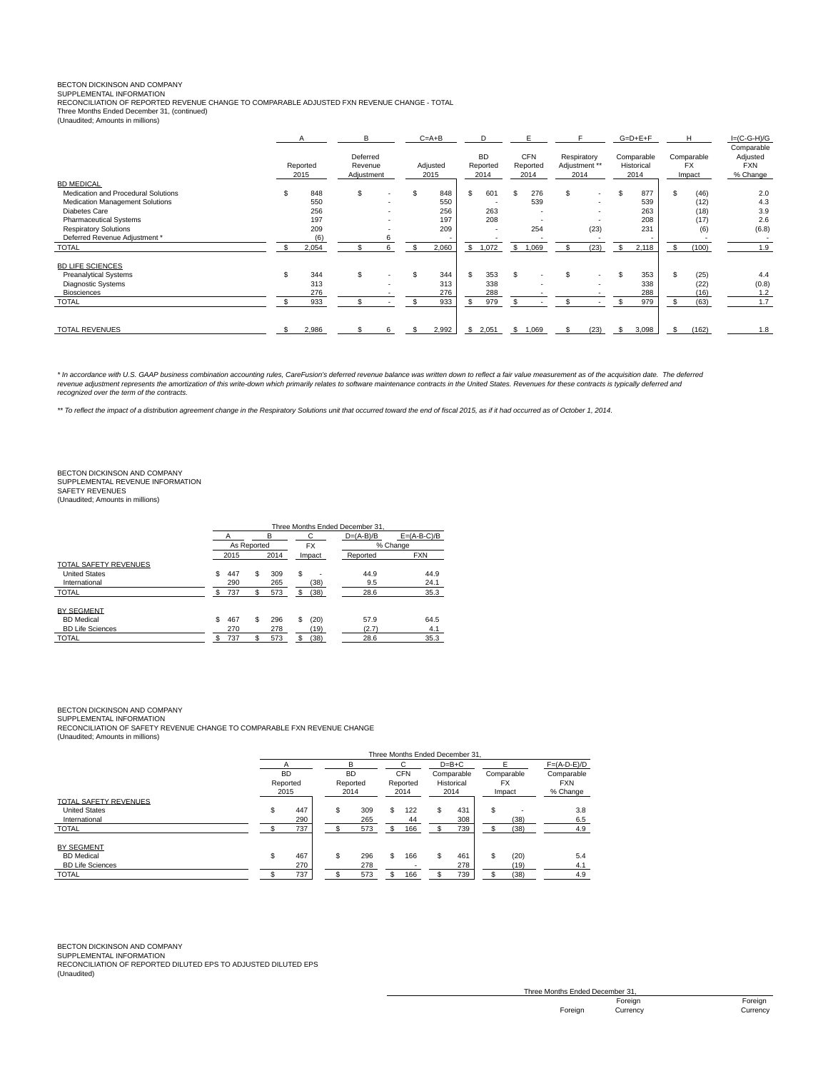# BECTON DICKINSON AND COMPANY SUPPLEMENTAL INFORMATION

RECONCILIATION OF REPORTED REVENUE CHANGE TO COMPARABLE ADJUSTED FXN REVENUE CHANGE - TOTAL Three Months Ended December 31, (continued)

(Unaudited; Amounts in millions)

|                                     | A                | В                                 |    | $C = A + B$      |    | D                             | E.                             |     |                                      | $G=D+E+F$                        |     | H                           | $I=(C-G-H)/G$                                    |
|-------------------------------------|------------------|-----------------------------------|----|------------------|----|-------------------------------|--------------------------------|-----|--------------------------------------|----------------------------------|-----|-----------------------------|--------------------------------------------------|
|                                     | Reported<br>2015 | Deferred<br>Revenue<br>Adjustment |    | Adjusted<br>2015 |    | <b>BD</b><br>Reported<br>2014 | <b>CFN</b><br>Reported<br>2014 |     | Respiratory<br>Adjustment **<br>2014 | Comparable<br>Historical<br>2014 |     | Comparable<br>FX.<br>Impact | Comparable<br>Adjusted<br><b>FXN</b><br>% Change |
| <b>BD MEDICAL</b>                   |                  |                                   |    |                  |    |                               |                                |     |                                      |                                  |     |                             |                                                  |
| Medication and Procedural Solutions | 848              | \$.                               | \$ | 848              |    | 601                           | 276                            | \$. | . .                                  | \$<br>877                        | \$. | (46)                        | 2.0                                              |
| Medication Management Solutions     | 550              |                                   |    | 550              |    |                               | 539                            |     |                                      | 539                              |     | (12)                        | 4.3                                              |
| Diabetes Care                       | 256              |                                   |    | 256              |    | 263                           | ٠                              |     |                                      | 263                              |     | (18)                        | 3.9                                              |
| <b>Pharmaceutical Systems</b>       | 197              |                                   |    | 197              |    | 208                           |                                |     |                                      | 208                              |     | (17)                        | 2.6                                              |
| <b>Respiratory Solutions</b>        | 209              |                                   |    | 209              |    |                               | 254                            |     | (23)                                 | 231                              |     | (6)                         | (6.8)                                            |
| Deferred Revenue Adjustment *       | (6)              |                                   |    |                  |    |                               |                                |     |                                      |                                  |     |                             |                                                  |
| <b>TOTAL</b>                        | 2,054            |                                   |    | 2,060            |    | \$1,072                       | \$<br>1,069                    |     | (23)                                 | \$<br>2,118                      | S.  | (100)                       | 1.9                                              |
| <b>BD LIFE SCIENCES</b>             |                  |                                   |    |                  |    |                               |                                |     |                                      |                                  |     |                             |                                                  |
| <b>Preanalytical Systems</b>        | 344              | \$                                |    | 344              | S. | 353                           |                                | S   |                                      | \$<br>353                        |     | (25)                        | 4.4                                              |
| <b>Diagnostic Systems</b>           | 313              |                                   |    | 313              |    | 338                           |                                |     |                                      | 338                              |     | (22)                        | (0.8)                                            |
| <b>Biosciences</b>                  | 276              |                                   |    | 276              |    | 288                           |                                |     |                                      | 288                              |     | (16)                        | 1.2                                              |
| <b>TOTAL</b>                        | 933              |                                   |    | 933              |    | 979                           |                                |     |                                      | 979                              |     | (63)                        | 1.7                                              |
| <b>TOTAL REVENUES</b>               | 2,986            |                                   |    | 2,992            | \$ | 2,051                         | \$<br>1,069                    |     | (23)                                 | \$<br>3,098                      |     | (162)                       | 1.8                                              |

\* In accordance with U.S. GAAP business combination accounting rules, CareFusion's deferred revenue balance was written down to reflect a fair value measurement as of the acquisition date. The deferred revenue adjustment represents the amortization of this write-down which primarily relates to software maintenance contracts in the United States. Revenues for these contracts is typically deferred and<br>recognized over the t

\*\* To reflect the impact of a distribution agreement change in the Respiratory Solutions unit that occurred toward the end of fiscal 2015, as if it had occurred as of October 1, 2014.

## BECTON DICKINSON AND COMPANY SUPPLEMENTAL REVENUE INFORMATION SAFETY REVENUES

(Unaudited; Amounts in millions)

|                              |    |             |      |     |             |               | Three Months Ended December 31. |            |
|------------------------------|----|-------------|------|-----|-------------|---------------|---------------------------------|------------|
|                              | в  |             |      |     | $D=(A-B)/B$ | $E=(A-B-C)/B$ |                                 |            |
|                              |    | As Reported |      |     | <b>FX</b>   |               |                                 | % Change   |
|                              |    | 2015        | 2014 |     |             | Impact        | Reported                        | <b>FXN</b> |
| <b>TOTAL SAFETY REVENUES</b> |    |             |      |     |             |               |                                 |            |
| <b>United States</b>         | \$ | 447         | \$   | 309 | \$          |               | 44.9                            | 44.9       |
| International                |    | 290         |      | 265 |             | (38)          | 9.5                             | 24.1       |
| <b>TOTAL</b>                 |    | 737         |      | 573 |             | (38)          | 28.6                            | 35.3       |
| <b>BY SEGMENT</b>            |    |             |      |     |             |               |                                 |            |
| <b>BD</b> Medical            | \$ | 467         | \$   | 296 | \$          | (20)          | 57.9                            | 64.5       |
| <b>BD Life Sciences</b>      |    | 270         |      | 278 |             | (19)          | (2.7)                           | 4.1        |
| <b>TOTAL</b>                 | \$ | 737         | \$   | 573 | \$          | (38)          | 28.6                            | 35.3       |

## BECTON DICKINSON AND COMPANY

SUPPLEMENTAL INFORMATION RECONCILIATION OF SAFETY REVENUE CHANGE TO COMPARABLE FXN REVENUE CHANGE

(Unaudited; Amounts in millions)

|                         | Three Months Ended December 31     |     |    |                  |    |                  |         |            |    |            |               |  |  |  |
|-------------------------|------------------------------------|-----|----|------------------|----|------------------|---------|------------|----|------------|---------------|--|--|--|
|                         | А<br><b>BD</b><br>Reported<br>2015 |     |    | в                | C. |                  | $D=B+C$ |            |    |            | $F=(A-D-E)/D$ |  |  |  |
|                         |                                    |     |    | <b>BD</b>        |    | <b>CFN</b>       |         | Comparable |    | Comparable | Comparable    |  |  |  |
|                         |                                    |     |    | Reported<br>2014 |    | Reported<br>2014 |         | Historical | FX |            | <b>FXN</b>    |  |  |  |
|                         |                                    |     |    |                  |    |                  |         | 2014       |    | Impact     | % Change      |  |  |  |
| TOTAL SAFETY REVENUES   |                                    |     |    |                  |    |                  |         |            |    |            |               |  |  |  |
| <b>United States</b>    | \$                                 | 447 | \$ | 309              | S. | 122              | \$      | 431        | S  |            | 3.8           |  |  |  |
| International           |                                    | 290 |    | 265              |    | 44               |         | 308        |    | (38)       | 6.5           |  |  |  |
| <b>TOTAL</b>            |                                    | 737 |    | 573              | S  | 166              |         | 739        |    | (38)       | 4.9           |  |  |  |
| <b>BY SEGMENT</b>       |                                    |     |    |                  |    |                  |         |            |    |            |               |  |  |  |
| <b>BD</b> Medical       | \$                                 | 467 | \$ | 296              | S. | 166              | \$      | 461        |    | (20)       | 5.4           |  |  |  |
| <b>BD Life Sciences</b> |                                    | 270 |    | 278              |    |                  |         | 278        |    | (19)       | 4.1           |  |  |  |
| <b>TOTAL</b>            | 737                                |     |    | 573              |    | 166              |         | 739        |    | (38)       | 4.9           |  |  |  |

BECTON DICKINSON AND COMPANY

SUPPLEMENTAL INFORMATION RECONCILIATION OF REPORTED DILUTED EPS TO ADJUSTED DILUTED EPS (Unaudited)